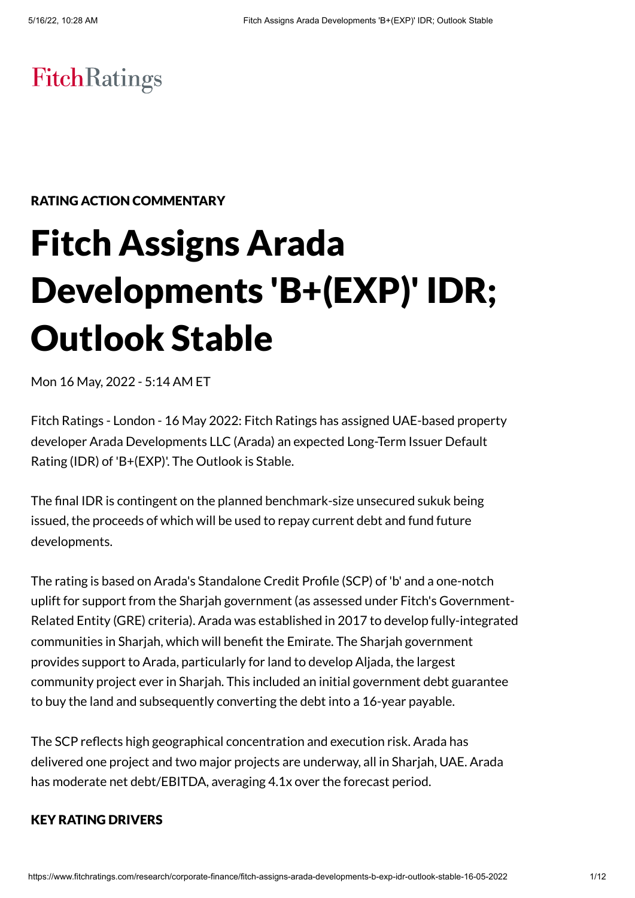# FitchRatings

# RATING ACTION COMMENTARY

# Fitch Assigns Arada Developments 'B+(EXP)' IDR; Outlook Stable

Mon 16 May, 2022 - 5:14 AM ET

Fitch Ratings - London - 16 May 2022: Fitch Ratings has assigned UAE-based property developer Arada Developments LLC (Arada) an expected Long-Term Issuer Default Rating (IDR) of 'B+(EXP)'. The Outlook is Stable.

The final IDR is contingent on the planned benchmark-size unsecured sukuk being issued, the proceeds of which will be used to repay current debt and fund future developments.

The rating is based on Arada's Standalone Credit Profile (SCP) of 'b' and a one-notch uplift for support from the Sharjah government (as assessed under Fitch's Government-Related Entity (GRE) criteria). Arada was established in 2017 to develop fully-integrated communities in Sharjah, which will benefit the Emirate. The Sharjah government provides support to Arada, particularly for land to develop Aljada, the largest community project ever in Sharjah. This included an initial government debt guarantee to buy the land and subsequently converting the debt into a 16-year payable.

The SCP reflects high geographical concentration and execution risk. Arada has delivered one project and two major projects are underway, all in Sharjah, UAE. Arada has moderate net debt/EBITDA, averaging 4.1x over the forecast period.

## KEY RATING DRIVERS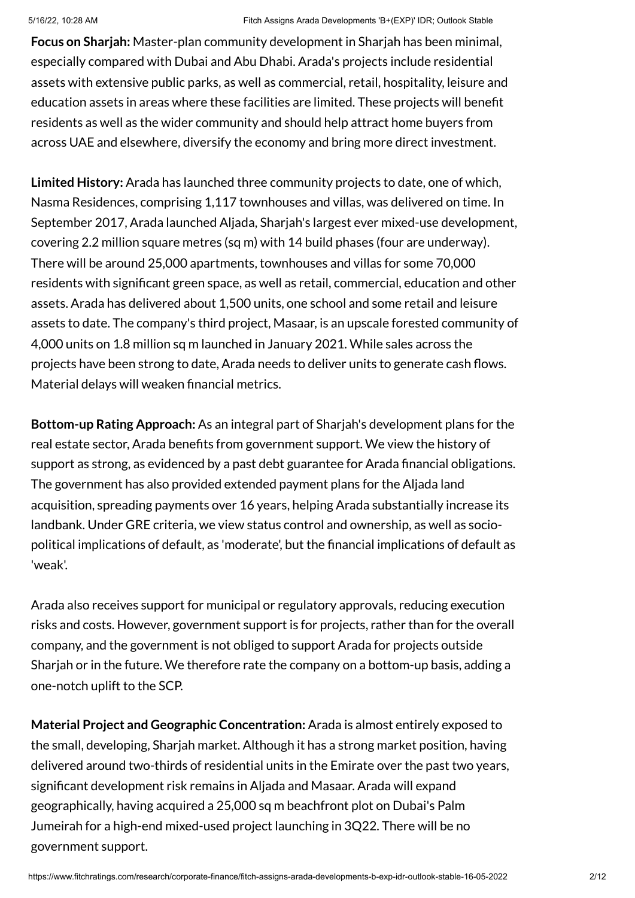**Focus on Sharjah:** Master-plan community development in Sharjah has been minimal, especially compared with Dubai and Abu Dhabi. Arada's projects include residential assets with extensive public parks, as well as commercial, retail, hospitality, leisure and education assets in areas where these facilities are limited. These projects will benefit residents as well as the wider community and should help attract home buyers from across UAE and elsewhere, diversify the economy and bring more direct investment.

**Limited History:** Arada has launched three community projects to date, one of which, Nasma Residences, comprising 1,117 townhouses and villas, was delivered on time. In September 2017, Arada launched Aljada, Sharjah's largest ever mixed-use development, covering 2.2 million square metres (sq m) with 14 build phases (four are underway). There will be around 25,000 apartments, townhouses and villas for some 70,000 residents with significant green space, as well as retail, commercial, education and other assets. Arada has delivered about 1,500 units, one school and some retail and leisure assets to date. The company's third project, Masaar, is an upscale forested community of 4,000 units on 1.8 million sq m launched in January 2021. While sales across the projects have been strong to date, Arada needs to deliver units to generate cash flows. Material delays will weaken financial metrics.

**Bottom-up Rating Approach:** As an integral part of Sharjah's development plans for the real estate sector, Arada benefits from government support. We view the history of support as strong, as evidenced by a past debt guarantee for Arada financial obligations. The government has also provided extended payment plans for the Aljada land acquisition, spreading payments over 16 years, helping Arada substantially increase its landbank. Under GRE criteria, we view status control and ownership, as well as sociopolitical implications of default, as 'moderate', but the financial implications of default as 'weak'.

Arada also receives support for municipal or regulatory approvals, reducing execution risks and costs. However, government support is for projects, rather than for the overall company, and the government is not obliged to support Arada for projects outside Sharjah or in the future. We therefore rate the company on a bottom-up basis, adding a one-notch uplift to the SCP.

**Material Project and Geographic Concentration:** Arada is almost entirely exposed to the small, developing, Sharjah market. Although it has a strong market position, having delivered around two-thirds of residential units in the Emirate over the past two years, significant development risk remains in Aljada and Masaar. Arada will expand geographically, having acquired a 25,000 sq m beachfront plot on Dubai's Palm Jumeirah for a high-end mixed-used project launching in 3Q22. There will be no government support.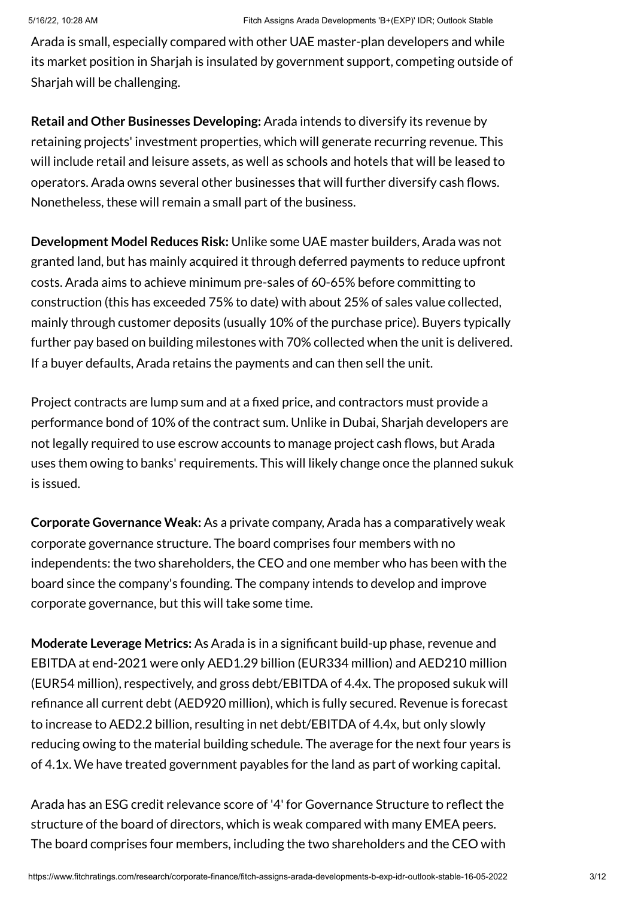Arada is small, especially compared with other UAE master-plan developers and while its market position in Sharjah is insulated by government support, competing outside of Sharjah will be challenging.

**Retail and Other Businesses Developing:** Arada intends to diversify its revenue by retaining projects' investment properties, which will generate recurring revenue. This will include retail and leisure assets, as well as schools and hotels that will be leased to operators. Arada owns several other businesses that will further diversify cash flows. Nonetheless, these will remain a small part of the business.

**Development Model Reduces Risk:** Unlike some UAE master builders, Arada was not granted land, but has mainly acquired it through deferred payments to reduce upfront costs. Arada aims to achieve minimum pre-sales of 60-65% before committing to construction (this has exceeded 75% to date) with about 25% of sales value collected, mainly through customer deposits (usually 10% of the purchase price). Buyers typically further pay based on building milestones with 70% collected when the unit is delivered. If a buyer defaults, Arada retains the payments and can then sell the unit.

Project contracts are lump sum and at a fixed price, and contractors must provide a performance bond of 10% of the contract sum. Unlike in Dubai, Sharjah developers are not legally required to use escrow accounts to manage project cash flows, but Arada uses them owing to banks' requirements. This will likely change once the planned sukuk is issued.

**Corporate Governance Weak:** As a private company, Arada has a comparatively weak corporate governance structure. The board comprises four members with no independents: the two shareholders, the CEO and one member who has been with the board since the company's founding. The company intends to develop and improve corporate governance, but this will take some time.

**Moderate Leverage Metrics:** As Arada is in a significant build-up phase, revenue and EBITDA at end-2021 were only AED1.29 billion (EUR334 million) and AED210 million (EUR54 million), respectively, and gross debt/EBITDA of 4.4x. The proposed sukuk will refinance all current debt (AED920 million), which is fully secured. Revenue is forecast to increase to AED2.2 billion, resulting in net debt/EBITDA of 4.4x, but only slowly reducing owing to the material building schedule. The average for the next four years is of 4.1x. We have treated government payables for the land as part of working capital.

Arada has an ESG credit relevance score of '4' for Governance Structure to reflect the structure of the board of directors, which is weak compared with many EMEA peers. The board comprises four members, including the two shareholders and the CEO with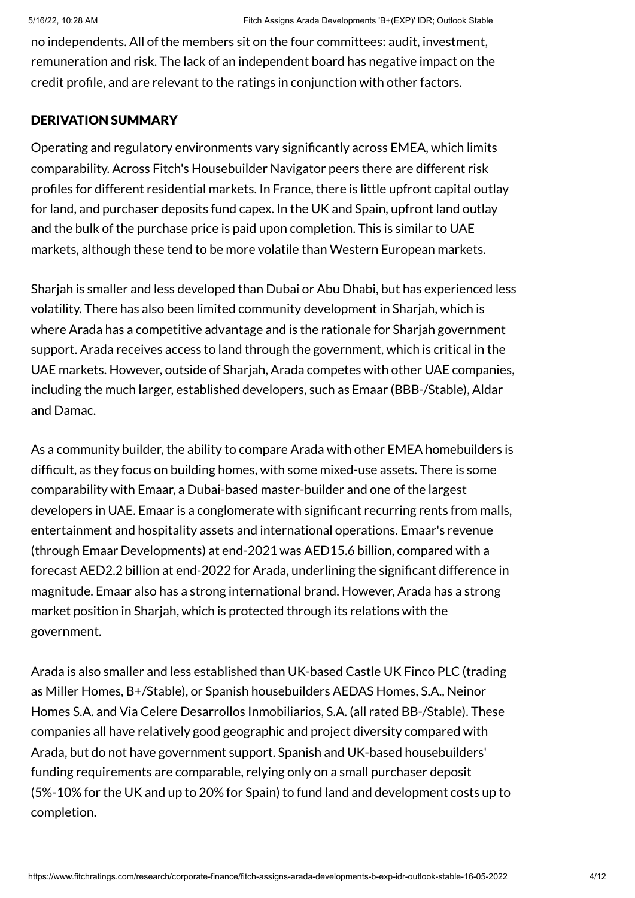no independents. All of the members sit on the four committees: audit, investment, remuneration and risk. The lack of an independent board has negative impact on the credit profile, and are relevant to the ratings in conjunction with other factors.

#### DERIVATION SUMMARY

Operating and regulatory environments vary significantly across EMEA, which limits comparability. Across Fitch's Housebuilder Navigator peers there are different risk profiles for different residential markets. In France, there is little upfront capital outlay for land, and purchaser deposits fund capex. In the UK and Spain, upfront land outlay and the bulk of the purchase price is paid upon completion. This is similar to UAE markets, although these tend to be more volatile than Western European markets.

Sharjah is smaller and less developed than Dubai or Abu Dhabi, but has experienced less volatility. There has also been limited community development in Sharjah, which is where Arada has a competitive advantage and is the rationale for Sharjah government support. Arada receives access to land through the government, which is critical in the UAE markets. However, outside of Sharjah, Arada competes with other UAE companies, including the much larger, established developers, such as Emaar (BBB-/Stable), Aldar and Damac.

As a community builder, the ability to compare Arada with other EMEA homebuilders is difficult, as they focus on building homes, with some mixed-use assets. There is some comparability with Emaar, a Dubai-based master-builder and one of the largest developers in UAE. Emaar is a conglomerate with significant recurring rents from malls, entertainment and hospitality assets and international operations. Emaar's revenue (through Emaar Developments) at end-2021 was AED15.6 billion, compared with a forecast AED2.2 billion at end-2022 for Arada, underlining the significant difference in magnitude. Emaar also has a strong international brand. However, Arada has a strong market position in Sharjah, which is protected through its relations with the government.

Arada is also smaller and less established than UK-based Castle UK Finco PLC (trading as Miller Homes, B+/Stable), or Spanish housebuilders AEDAS Homes, S.A., Neinor Homes S.A. and Via Celere Desarrollos Inmobiliarios, S.A. (all rated BB-/Stable). These companies all have relatively good geographic and project diversity compared with Arada, but do not have government support. Spanish and UK-based housebuilders' funding requirements are comparable, relying only on a small purchaser deposit (5%-10% for the UK and up to 20% for Spain) to fund land and development costs up to completion.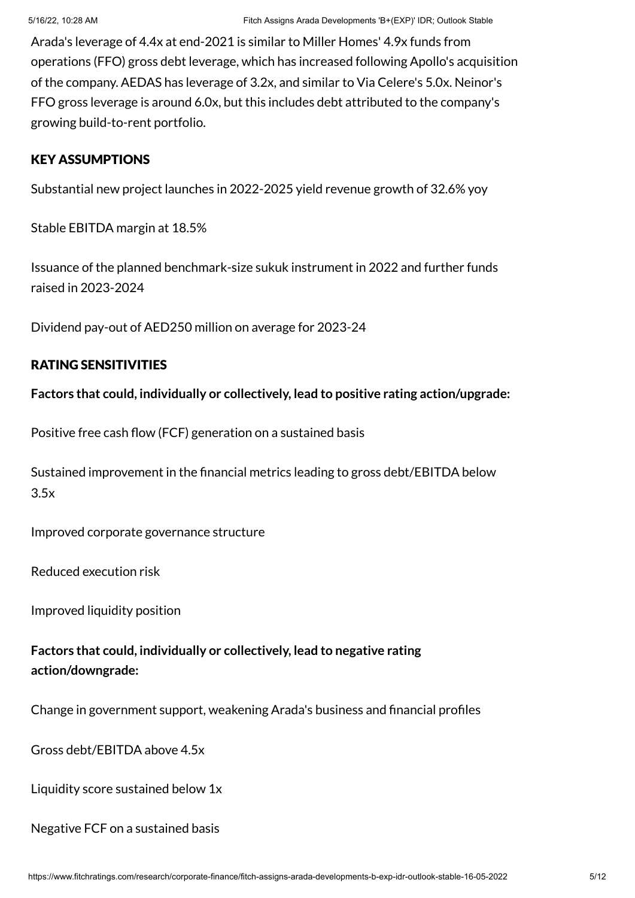Arada's leverage of 4.4x at end-2021 is similar to Miller Homes' 4.9x funds from operations (FFO) gross debt leverage, which has increased following Apollo's acquisition of the company. AEDAS has leverage of 3.2x, and similar to Via Celere's 5.0x. Neinor's FFO gross leverage is around 6.0x, but this includes debt attributed to the company's growing build-to-rent portfolio.

#### KEY ASSUMPTIONS

Substantial new project launches in 2022-2025 yield revenue growth of 32.6% yoy

Stable EBITDA margin at 18.5%

Issuance of the planned benchmark-size sukuk instrument in 2022 and further funds raised in 2023-2024

Dividend pay-out of AED250 million on average for 2023-24

#### RATING SENSITIVITIES

**Factors that could, individually or collectively, lead to positive rating action/upgrade:**

Positive free cash flow (FCF) generation on a sustained basis

Sustained improvement in the financial metrics leading to gross debt/EBITDA below 3.5x

Improved corporate governance structure

Reduced execution risk

Improved liquidity position

**Factors that could, individually or collectively, lead to negative rating action/downgrade:**

Change in government support, weakening Arada's business and financial profiles

Gross debt/EBITDA above 4.5x

Liquidity score sustained below 1x

Negative FCF on a sustained basis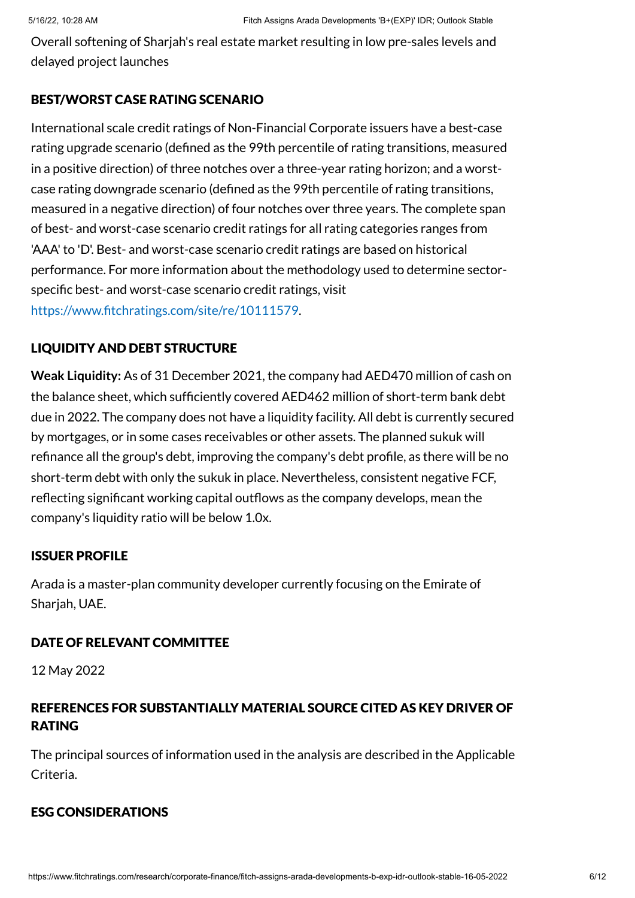Overall softening of Sharjah's real estate market resulting in low pre-sales levels and delayed project launches

#### BEST/WORST CASE RATING SCENARIO

International scale credit ratings of Non-Financial Corporate issuers have a best-case rating upgrade scenario (defined as the 99th percentile of rating transitions, measured in a positive direction) of three notches over a three-year rating horizon; and a worstcase rating downgrade scenario (defined as the 99th percentile of rating transitions, measured in a negative direction) of four notches over three years. The complete span of best- and worst-case scenario credit ratings for all rating categories ranges from 'AAA' to 'D'. Best- and worst-case scenario credit ratings are based on historical performance. For more information about the methodology used to determine sectorspecific best- and worst-case scenario credit ratings, visit <https://www.fitchratings.com/site/re/10111579>.

## LIQUIDITY AND DEBT STRUCTURE

**Weak Liquidity:** As of 31 December 2021, the company had AED470 million of cash on the balance sheet, which sufficiently covered AED462 million of short-term bank debt due in 2022. The company does not have a liquidity facility. All debt is currently secured by mortgages, or in some cases receivables or other assets. The planned sukuk will refinance all the group's debt, improving the company's debt profile, as there will be no short-term debt with only the sukuk in place. Nevertheless, consistent negative FCF, reflecting significant working capital outflows as the company develops, mean the company's liquidity ratio will be below 1.0x.

#### ISSUER PROFILE

Arada is a master-plan community developer currently focusing on the Emirate of Shariah, UAE.

#### DATE OF RELEVANT COMMITTEE

12 May 2022

# REFERENCES FOR SUBSTANTIALLY MATERIAL SOURCE CITED AS KEY DRIVER OF RATING

The principal sources of information used in the analysis are described in the Applicable Criteria.

#### ESG CONSIDERATIONS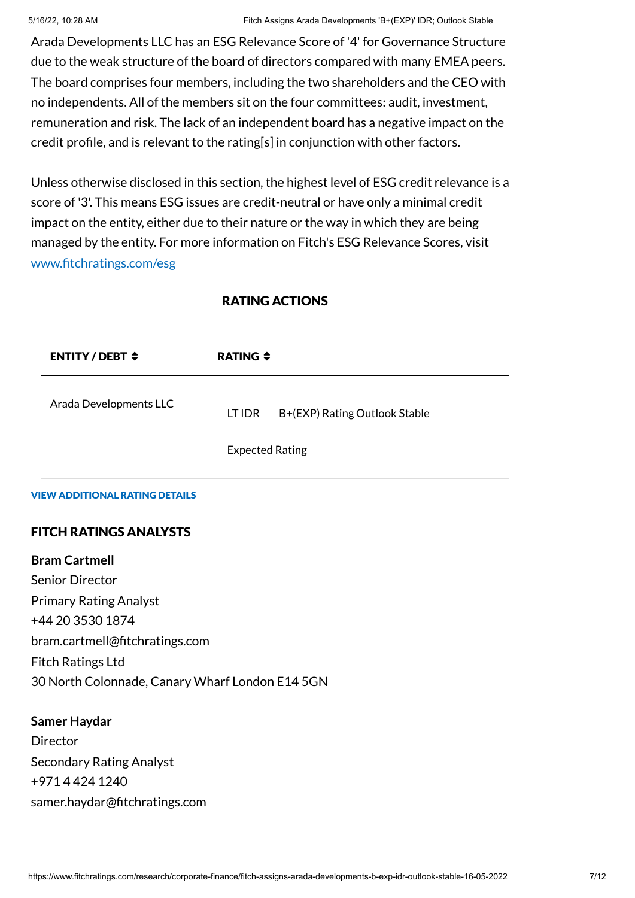Arada Developments LLC has an ESG Relevance Score of '4' for Governance Structure due to the weak structure of the board of directors compared with many EMEA peers. The board comprises four members, including the two shareholders and the CEO with no independents. All of the members sit on the four committees: audit, investment, remuneration and risk. The lack of an independent board has a negative impact on the credit profile, and is relevant to the rating[s] in conjunction with other factors.

Unless otherwise disclosed in this section, the highest level of ESG credit relevance is a score of '3'. This means ESG issues are credit-neutral or have only a minimal credit impact on the entity, either due to their nature or the way in which they are being managed by the entity. For more information on Fitch's ESG Relevance Scores, visit [www.fitchratings.com/esg](http://www.fitchratings.com/esg)

#### RATING ACTIONS

| <b>ENTITY/DEBT <math>\div</math></b>            | <b>RATING <math>\div</math></b> |                               |  |
|-------------------------------------------------|---------------------------------|-------------------------------|--|
| Arada Developments LLC                          | LT IDR                          | B+(EXP) Rating Outlook Stable |  |
|                                                 | <b>Expected Rating</b>          |                               |  |
| <b>VIEW ADDITIONAL RATING DETAILS</b>           |                                 |                               |  |
| <b>FITCH RATINGS ANALYSTS</b>                   |                                 |                               |  |
| <b>Bram Cartmell</b>                            |                                 |                               |  |
| <b>Senior Director</b>                          |                                 |                               |  |
| <b>Primary Rating Analyst</b>                   |                                 |                               |  |
| +44 20 3530 1874                                |                                 |                               |  |
| bram.cartmell@fitchratings.com                  |                                 |                               |  |
| <b>Fitch Ratings Ltd</b>                        |                                 |                               |  |
| 30 North Colonnade, Canary Wharf London E14 5GN |                                 |                               |  |
| Samer Haydar                                    |                                 |                               |  |
| <b>Director</b>                                 |                                 |                               |  |
| Cacandam: Dating Analyst                        |                                 |                               |  |

Secondary Rating Analyst +971 4 424 1240 samer.haydar@fitchratings.com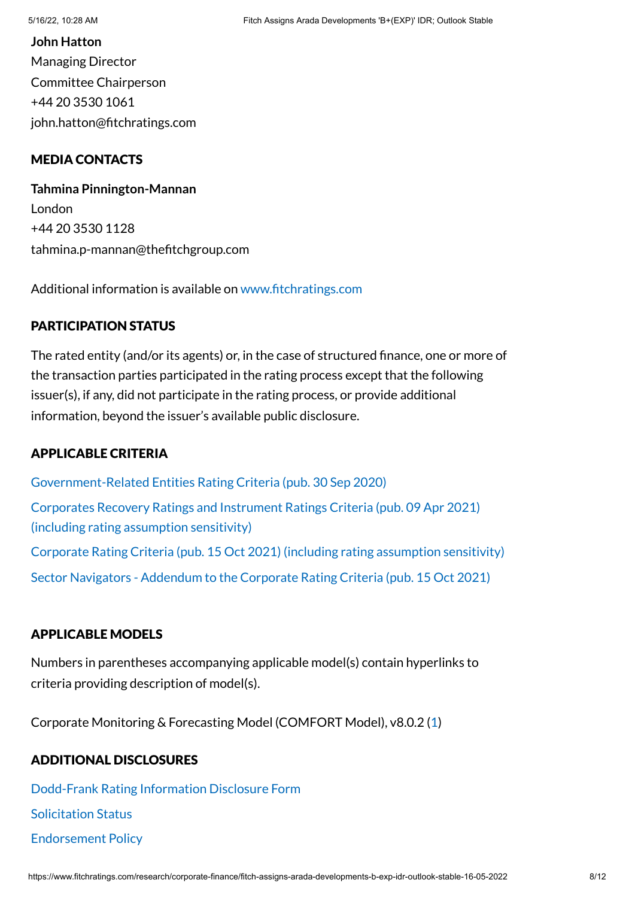**John Hatton** Managing Director Committee Chairperson +44 20 3530 1061 john.hatton@fitchratings.com

#### MEDIA CONTACTS

**Tahmina Pinnington-Mannan** London +44 20 3530 1128 tahmina.p-mannan@thefitchgroup.com

Additional information is available on [www.fitchratings.com](http://www.fitchratings.com/)

#### PARTICIPATION STATUS

The rated entity (and/or its agents) or, in the case of structured finance, one or more of the transaction parties participated in the rating process except that the following issuer(s), if any, did not participate in the rating process, or provide additional information, beyond the issuer's available public disclosure.

#### APPLICABLE CRITERIA

[Government-Related Entities](https://www.fitchratings.com/research/international-public-finance/government-related-entities-rating-criteria-30-09-2020) Rating Criteria (pub. 30 Sep 2020) Corporates Recovery Ratings and Instrument [Ratings Criteria](https://www.fitchratings.com/research/corporate-finance/corporates-recovery-ratings-instrument-ratings-criteria-09-04-2021) (pub. 09 Apr 2021) (including rating assumption sensitivity) Corporate Rating Criteria (pub. 15 Oct 2021) (including rating [assumption](https://www.fitchratings.com/research/corporate-finance/corporate-rating-criteria-15-10-2021) sensitivity) Sector Navigators - [Addendum](https://www.fitchratings.com/research/corporate-finance/sector-navigators-addendum-to-corporate-rating-criteria-15-10-2021) to the Corporate Rating Criteria (pub. 15 Oct 2021)

#### APPLICABLE MODELS

Numbers in parentheses accompanying applicable model(s) contain hyperlinks to criteria providing description of model(s).

Corporate Monitoring & Forecasting Model (COMFORT Model), v8.0.2 ([1\)](https://www.fitchratings.com/research/corporate-finance/corporate-rating-criteria-15-10-2021)

#### ADDITIONAL DISCLOSURES

[Dodd-Frank](https://www.fitchratings.com/research/corporate-finance/fitch-assigns-arada-developments-b-exp-idr-outlook-stable-16-05-2022/dodd-frank-disclosure) Rating Information Disclosure Form Solicitation Status [Endorsement](#page-10-0) Policy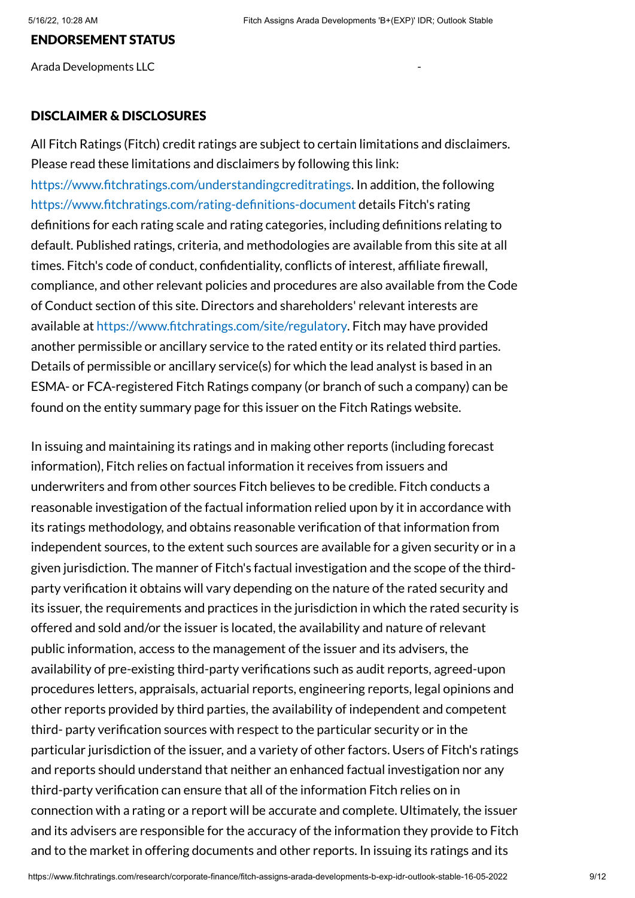#### ENDORSEMENT STATUS

Arada Developments LLC -

#### DISCLAIMER & DISCLOSURES

All Fitch Ratings (Fitch) credit ratings are subject to certain limitations and disclaimers. Please read these limitations and disclaimers by following this link:

[https://www.fitchratings.com/understandingcreditratings](https://www.fitchratings.com/UNDERSTANDINGCREDITRATINGS). In addition, the following [https://www.fitchratings.com/rating-definitions-document](https://www.fitchratings.com/RATING-DEFINITIONS-DOCUMENT) details Fitch's rating definitions for each rating scale and rating categories, including definitions relating to default. Published ratings, criteria, and methodologies are available from this site at all times. Fitch's code of conduct, confidentiality, conflicts of interest, affiliate firewall, compliance, and other relevant policies and procedures are also available from the Code of Conduct section of this site. Directors and shareholders' relevant interests are available at [https://www.fitchratings.com/site/regulatory](https://www.fitchratings.com/SITE/REGULATORY). Fitch may have provided another permissible or ancillary service to the rated entity or its related third parties. Details of permissible or ancillary service(s) for which the lead analyst is based in an ESMA- or FCA-registered Fitch Ratings company (or branch of such a company) can be found on the entity summary page for this issuer on the Fitch Ratings website.

In issuing and maintaining its ratings and in making other reports (including forecast information), Fitch relies on factual information it receives from issuers and underwriters and from other sources Fitch believes to be credible. Fitch conducts a reasonable investigation of the factual information relied upon by it in accordance with its ratings methodology, and obtains reasonable verification of that information from independent sources, to the extent such sources are available for a given security or in a given jurisdiction. The manner of Fitch's factual investigation and the scope of the thirdparty verification it obtains will vary depending on the nature of the rated security and its issuer, the requirements and practices in the jurisdiction in which the rated security is offered and sold and/or the issuer is located, the availability and nature of relevant public information, access to the management of the issuer and its advisers, the availability of pre-existing third-party verifications such as audit reports, agreed-upon procedures letters, appraisals, actuarial reports, engineering reports, legal opinions and other reports provided by third parties, the availability of independent and competent third- party verification sources with respect to the particular security or in the particular jurisdiction of the issuer, and a variety of other factors. Users of Fitch's ratings and reports should understand that neither an enhanced factual investigation nor any third-party verification can ensure that all of the information Fitch relies on in connection with a rating or a report will be accurate and complete. Ultimately, the issuer and its advisers are responsible for the accuracy of the information they provide to Fitch and to the market in offering documents and other reports. In issuing its ratings and its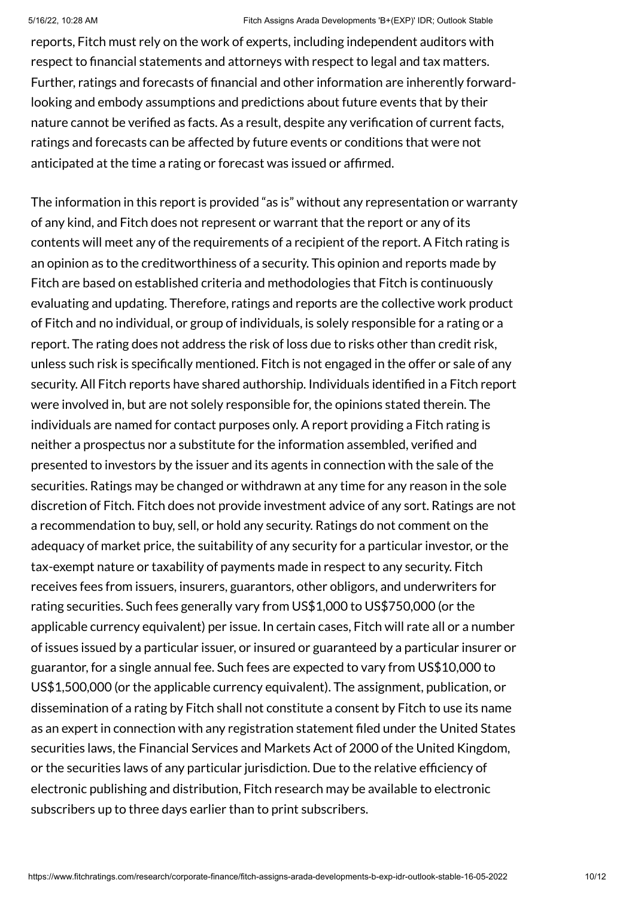reports, Fitch must rely on the work of experts, including independent auditors with respect to financial statements and attorneys with respect to legal and tax matters. Further, ratings and forecasts of financial and other information are inherently forwardlooking and embody assumptions and predictions about future events that by their nature cannot be verified as facts. As a result, despite any verification of current facts, ratings and forecasts can be affected by future events or conditions that were not anticipated at the time a rating or forecast was issued or affirmed.

The information in this report is provided "as is" without any representation or warranty of any kind, and Fitch does not represent or warrant that the report or any of its contents will meet any of the requirements of a recipient of the report. A Fitch rating is an opinion as to the creditworthiness of a security. This opinion and reports made by Fitch are based on established criteria and methodologies that Fitch is continuously evaluating and updating. Therefore, ratings and reports are the collective work product of Fitch and no individual, or group of individuals, is solely responsible for a rating or a report. The rating does not address the risk of loss due to risks other than credit risk, unless such risk is specifically mentioned. Fitch is not engaged in the offer or sale of any security. All Fitch reports have shared authorship. Individuals identified in a Fitch report were involved in, but are not solely responsible for, the opinions stated therein. The individuals are named for contact purposes only. A report providing a Fitch rating is neither a prospectus nor a substitute for the information assembled, verified and presented to investors by the issuer and its agents in connection with the sale of the securities. Ratings may be changed or withdrawn at any time for any reason in the sole discretion of Fitch. Fitch does not provide investment advice of any sort. Ratings are not a recommendation to buy, sell, or hold any security. Ratings do not comment on the adequacy of market price, the suitability of any security for a particular investor, or the tax-exempt nature or taxability of payments made in respect to any security. Fitch receives fees from issuers, insurers, guarantors, other obligors, and underwriters for rating securities. Such fees generally vary from US\$1,000 to US\$750,000 (or the applicable currency equivalent) per issue. In certain cases, Fitch will rate all or a number of issues issued by a particular issuer, or insured or guaranteed by a particular insurer or guarantor, for a single annual fee. Such fees are expected to vary from US\$10,000 to US\$1,500,000 (or the applicable currency equivalent). The assignment, publication, or dissemination of a rating by Fitch shall not constitute a consent by Fitch to use its name as an expert in connection with any registration statement filed under the United States securities laws, the Financial Services and Markets Act of 2000 of the United Kingdom, or the securities laws of any particular jurisdiction. Due to the relative efficiency of electronic publishing and distribution, Fitch research may be available to electronic subscribers up to three days earlier than to print subscribers.